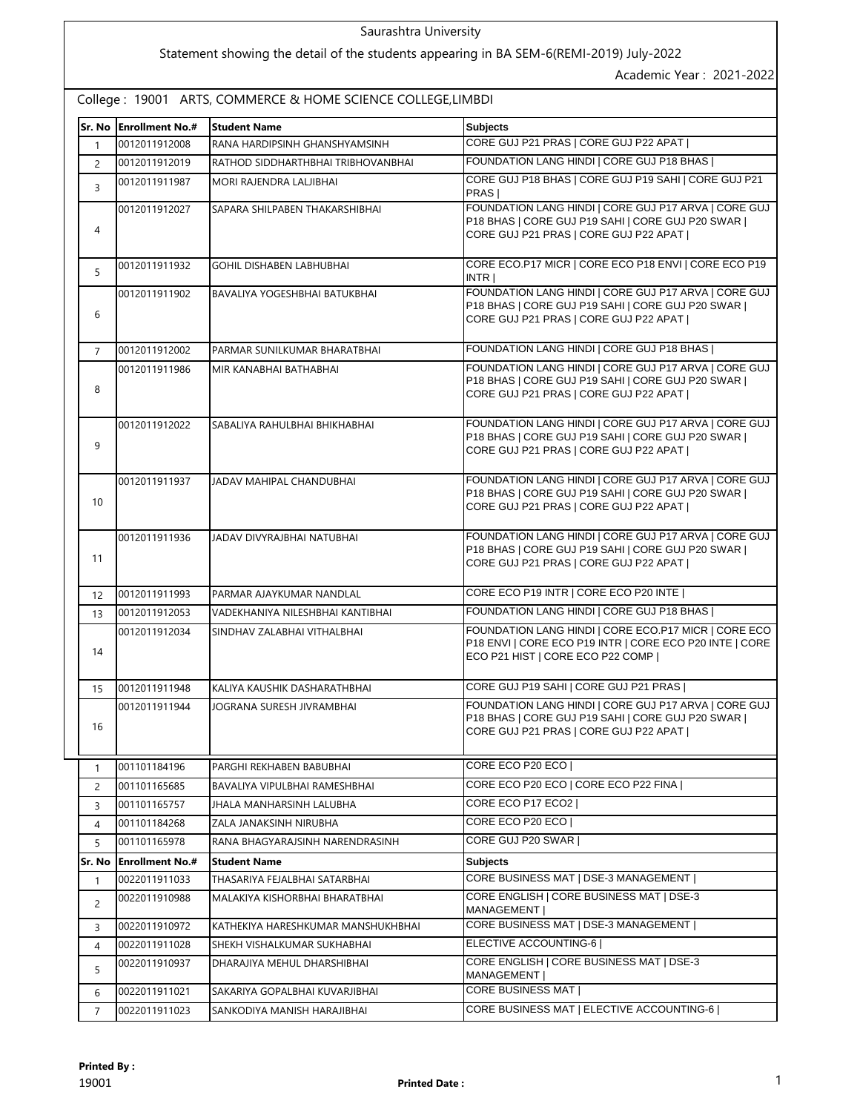### Saurashtra University

# Statement showing the detail of the students appearing in BA SEM-6(REMI-2019) July-2022

Academic Year : 2021-2022

College : 19001 ARTS, COMMERCE & HOME SCIENCE COLLEGE,LIMBDI

| Sr. No            | <b>Enrollment No.#</b> | <b>Student Name</b>                  | <b>Subjects</b>                                                                                                                                      |  |
|-------------------|------------------------|--------------------------------------|------------------------------------------------------------------------------------------------------------------------------------------------------|--|
| 1                 | 0012011912008          | RANA HARDIPSINH GHANSHYAMSINH        | CORE GUJ P21 PRAS   CORE GUJ P22 APAT                                                                                                                |  |
| $\overline{2}$    | 0012011912019          | RATHOD SIDDHARTHBHAI TRIBHOVANBHAI   | FOUNDATION LANG HINDI   CORE GUJ P18 BHAS                                                                                                            |  |
| 3                 | 0012011911987          | MORI RAJENDRA LALJIBHAI              | CORE GUJ P18 BHAS   CORE GUJ P19 SAHI   CORE GUJ P21<br>PRAS                                                                                         |  |
| 4                 | 0012011912027          | SAPARA SHILPABEN THAKARSHIBHAI       | FOUNDATION LANG HINDI   CORE GUJ P17 ARVA   CORE GUJ<br>P18 BHAS   CORE GUJ P19 SAHI   CORE GUJ P20 SWAR  <br>CORE GUJ P21 PRAS   CORE GUJ P22 APAT  |  |
| 5                 | 0012011911932          | <b>GOHIL DISHABEN LABHUBHAI</b>      | CORE ECO.P17 MICR   CORE ECO P18 ENVI   CORE ECO P19<br>INTR                                                                                         |  |
| 6                 | 0012011911902          | <b>BAVALIYA YOGESHBHAI BATUKBHAI</b> | FOUNDATION LANG HINDI   CORE GUJ P17 ARVA   CORE GUJ<br>P18 BHAS   CORE GUJ P19 SAHI   CORE GUJ P20 SWAR  <br>CORE GUJ P21 PRAS   CORE GUJ P22 APAT  |  |
| $\overline{7}$    | 0012011912002          | PARMAR SUNILKUMAR BHARATBHAI         | FOUNDATION LANG HINDI   CORE GUJ P18 BHAS                                                                                                            |  |
| 8                 | 0012011911986          | MIR KANABHAI BATHABHAI               | FOUNDATION LANG HINDI   CORE GUJ P17 ARVA   CORE GUJ<br>P18 BHAS   CORE GUJ P19 SAHI   CORE GUJ P20 SWAR  <br>CORE GUJ P21 PRAS   CORE GUJ P22 APAT  |  |
| 9                 | 0012011912022          | SABALIYA RAHULBHAI BHIKHABHAI        | FOUNDATION LANG HINDI   CORE GUJ P17 ARVA   CORE GUJ<br>P18 BHAS   CORE GUJ P19 SAHI   CORE GUJ P20 SWAR  <br>CORE GUJ P21 PRAS   CORE GUJ P22 APAT  |  |
| 10                | 0012011911937          | JADAV MAHIPAL CHANDUBHAI             | FOUNDATION LANG HINDI   CORE GUJ P17 ARVA   CORE GUJ<br>P18 BHAS   CORE GUJ P19 SAHI   CORE GUJ P20 SWAR  <br>CORE GUJ P21 PRAS   CORE GUJ P22 APAT  |  |
| 11                | 0012011911936          | JADAV DIVYRAJBHAI NATUBHAI           | FOUNDATION LANG HINDI   CORE GUJ P17 ARVA   CORE GUJ<br>P18 BHAS   CORE GUJ P19 SAHI   CORE GUJ P20 SWAR  <br>CORE GUJ P21 PRAS   CORE GUJ P22 APAT  |  |
| $12 \overline{ }$ | 0012011911993          | PARMAR AJAYKUMAR NANDLAL             | CORE ECO P19 INTR   CORE ECO P20 INTE                                                                                                                |  |
| 13                | 0012011912053          | VADEKHANIYA NILESHBHAI KANTIBHAI     | FOUNDATION LANG HINDI   CORE GUJ P18 BHAS                                                                                                            |  |
| 14                | 0012011912034          | SINDHAV ZALABHAI VITHALBHAI          | FOUNDATION LANG HINDI   CORE ECO.P17 MICR   CORE ECO.<br>P18 ENVI   CORE ECO P19 INTR   CORE ECO P20 INTE   CORE<br>ECO P21 HIST   CORE ECO P22 COMP |  |
| 15                | 0012011911948          | KALIYA KAUSHIK DASHARATHBHAI         | CORE GUJ P19 SAHI   CORE GUJ P21 PRAS                                                                                                                |  |
| 16                | 0012011911944          | JOGRANA SURESH JIVRAMBHAI            | FOUNDATION LANG HINDI   CORE GUJ P17 ARVA   CORE GUJ<br>P18 BHAS   CORE GUJ P19 SAHI   CORE GUJ P20 SWAR  <br>CORE GUJ P21 PRAS   CORE GUJ P22 APAT  |  |
| 1                 | 001101184196           | PARGHI REKHABEN BABUBHAI             | CORE ECO P20 ECO                                                                                                                                     |  |
| $\overline{2}$    | 001101165685           | <b>BAVALIYA VIPULBHAI RAMESHBHAI</b> | CORE ECO P20 ECO   CORE ECO P22 FINA                                                                                                                 |  |
| 3                 | 001101165757           | JHALA MANHARSINH LALUBHA             | CORE ECO P17 ECO2                                                                                                                                    |  |
| 4                 | 001101184268           | ZALA JANAKSINH NIRUBHA               | CORE ECO P20 ECO                                                                                                                                     |  |
| 5                 | 001101165978           | RANA BHAGYARAJSINH NARENDRASINH      | CORE GUJ P20 SWAR                                                                                                                                    |  |
| Sr. No            | <b>Enrollment No.#</b> | <b>Student Name</b>                  | Subjects                                                                                                                                             |  |
| $\mathbf{1}$      | 0022011911033          | THASARIYA FEJALBHAI SATARBHAI        | CORE BUSINESS MAT   DSE-3 MANAGEMENT                                                                                                                 |  |
| 2                 | 0022011910988          | MALAKIYA KISHORBHAI BHARATBHAI       | CORE ENGLISH   CORE BUSINESS MAT   DSE-3<br>MANAGEMENT                                                                                               |  |
| 3                 | 0022011910972          | KATHEKIYA HARESHKUMAR MANSHUKHBHAI   | CORE BUSINESS MAT   DSE-3 MANAGEMENT                                                                                                                 |  |
| 4                 | 0022011911028          | SHEKH VISHALKUMAR SUKHABHAI          | ELECTIVE ACCOUNTING-6                                                                                                                                |  |
| 5                 | 0022011910937          | DHARAJIYA MEHUL DHARSHIBHAI          | CORE ENGLISH   CORE BUSINESS MAT   DSE-3<br><b>MANAGEMENT</b>                                                                                        |  |
| 6                 | 0022011911021          | SAKARIYA GOPALBHAI KUVARJIBHAI       | CORE BUSINESS MAT                                                                                                                                    |  |
| $\overline{7}$    | 0022011911023          | SANKODIYA MANISH HARAJIBHAI          | CORE BUSINESS MAT   ELECTIVE ACCOUNTING-6                                                                                                            |  |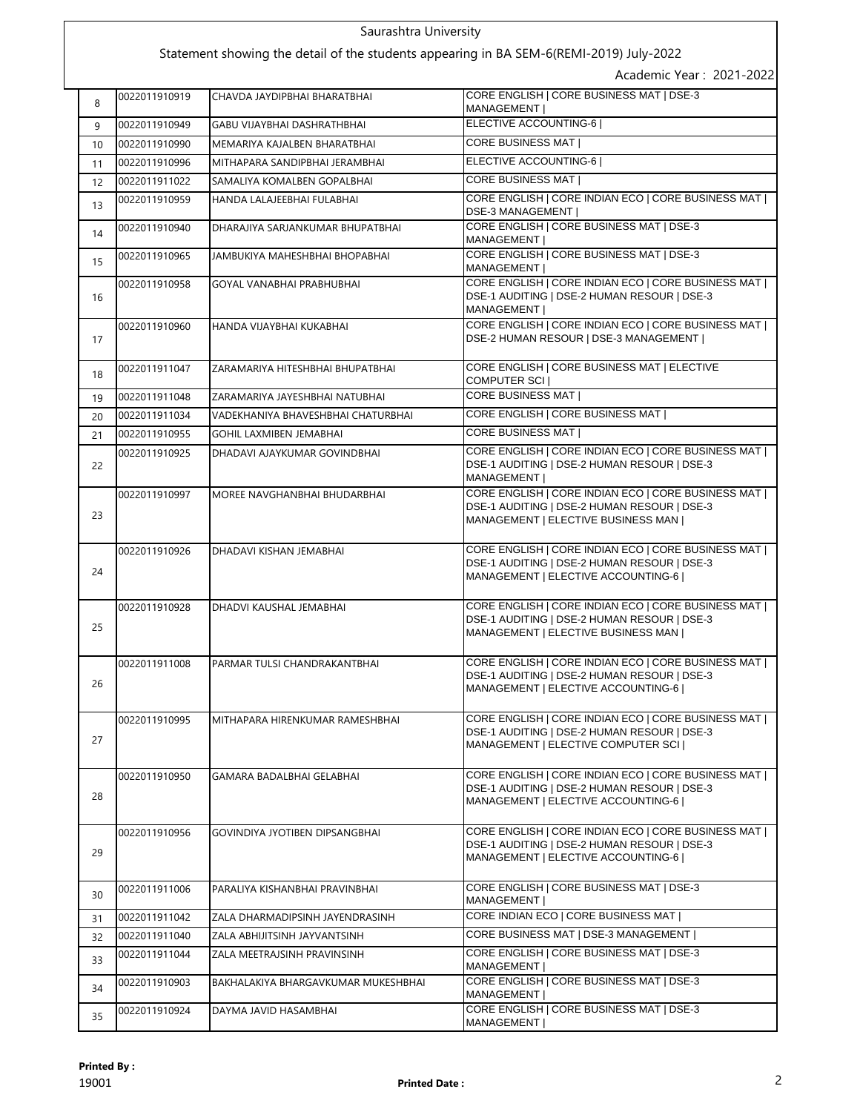# Saurashtra University

# Statement showing the detail of the students appearing in BA SEM-6(REMI-2019) July-2022

Academic Year : 2021-2022

| 8  | 0022011910919 | CHAVDA JAYDIPBHAI BHARATBHAI        | CORE ENGLISH   CORE BUSINESS MAT   DSE-3<br><b>MANAGEMENT I</b>                                                                           |  |
|----|---------------|-------------------------------------|-------------------------------------------------------------------------------------------------------------------------------------------|--|
| 9  | 0022011910949 | <b>GABU VIJAYBHAI DASHRATHBHAI</b>  | ELECTIVE ACCOUNTING-6                                                                                                                     |  |
| 10 | 0022011910990 | MEMARIYA KAJALBEN BHARATBHAI        | CORE BUSINESS MAT                                                                                                                         |  |
| 11 | 0022011910996 | MITHAPARA SANDIPBHAI JERAMBHAI      | ELECTIVE ACCOUNTING-6                                                                                                                     |  |
| 12 | 0022011911022 | SAMALIYA KOMALBEN GOPALBHAI         | <b>CORE BUSINESS MAT  </b>                                                                                                                |  |
| 13 | 0022011910959 | HANDA LALAJEEBHAI FULABHAI          | CORE ENGLISH   CORE INDIAN ECO   CORE BUSINESS MAT  <br><b>DSE-3 MANAGEMENT  </b>                                                         |  |
| 14 | 0022011910940 | DHARAJIYA SARJANKUMAR BHUPATBHAI    | CORE ENGLISH   CORE BUSINESS MAT   DSE-3<br>MANAGEMENT                                                                                    |  |
| 15 | 0022011910965 | JAMBUKIYA MAHESHBHAI BHOPABHAI      | CORE ENGLISH   CORE BUSINESS MAT   DSE-3<br>MANAGEMENT                                                                                    |  |
| 16 | 0022011910958 | GOYAL VANABHAI PRABHUBHAI           | CORE ENGLISH   CORE INDIAN ECO   CORE BUSINESS MAT  <br>DSE-1 AUDITING   DSE-2 HUMAN RESOUR   DSE-3<br>MANAGEMENT                         |  |
| 17 | 0022011910960 | HANDA VIJAYBHAI KUKABHAI            | CORE ENGLISH   CORE INDIAN ECO   CORE BUSINESS MAT  <br>DSE-2 HUMAN RESOUR   DSE-3 MANAGEMENT                                             |  |
| 18 | 0022011911047 | ZARAMARIYA HITESHBHAI BHUPATBHAI    | CORE ENGLISH   CORE BUSINESS MAT   ELECTIVE<br>COMPUTER SCI                                                                               |  |
| 19 | 0022011911048 | ZARAMARIYA JAYESHBHAI NATUBHAI      | <b>CORE BUSINESS MAT  </b>                                                                                                                |  |
| 20 | 0022011911034 | VADEKHANIYA BHAVESHBHAI CHATURBHAI  | CORE ENGLISH   CORE BUSINESS MAT                                                                                                          |  |
| 21 | 0022011910955 | <b>GOHIL LAXMIBEN JEMABHAI</b>      | <b>CORE BUSINESS MAT  </b>                                                                                                                |  |
| 22 | 0022011910925 | DHADAVI AJAYKUMAR GOVINDBHAI        | CORE ENGLISH   CORE INDIAN ECO   CORE BUSINESS MAT  <br>DSE-1 AUDITING   DSE-2 HUMAN RESOUR   DSE-3<br>MANAGEMENT                         |  |
| 23 | 0022011910997 | MOREE NAVGHANBHAI BHUDARBHAI        | CORE ENGLISH   CORE INDIAN ECO   CORE BUSINESS MAT  <br>DSE-1 AUDITING   DSE-2 HUMAN RESOUR   DSE-3<br>MANAGEMENT   ELECTIVE BUSINESS MAN |  |
| 24 | 0022011910926 | DHADAVI KISHAN JEMABHAI             | CORE ENGLISH   CORE INDIAN ECO   CORE BUSINESS MAT  <br>DSE-1 AUDITING   DSE-2 HUMAN RESOUR   DSE-3<br>MANAGEMENT   ELECTIVE ACCOUNTING-6 |  |
| 25 | 0022011910928 | DHADVI KAUSHAL JEMABHAI             | CORE ENGLISH   CORE INDIAN ECO   CORE BUSINESS MAT  <br>DSE-1 AUDITING   DSE-2 HUMAN RESOUR   DSE-3<br>MANAGEMENT   ELECTIVE BUSINESS MAN |  |
| 26 | 0022011911008 | PARMAR TULSI CHANDRAKANTBHAI        | CORE ENGLISH   CORE INDIAN ECO   CORE BUSINESS MAT  <br>DSE-1 AUDITING   DSE-2 HUMAN RESOUR   DSE-3<br>MANAGEMENT   ELECTIVE ACCOUNTING-6 |  |
| 27 | 0022011910995 | MITHAPARA HIRENKUMAR RAMESHBHAI     | CORE ENGLISH   CORE INDIAN ECO   CORE BUSINESS MAT  <br>DSE-1 AUDITING   DSE-2 HUMAN RESOUR   DSE-3<br>MANAGEMENT   ELECTIVE COMPUTER SCI |  |
| 28 | 0022011910950 | GAMARA BADALBHAI GELABHAI           | CORE ENGLISH   CORE INDIAN ECO   CORE BUSINESS MAT  <br>DSE-1 AUDITING   DSE-2 HUMAN RESOUR   DSE-3<br>MANAGEMENT   ELECTIVE ACCOUNTING-6 |  |
| 29 | 0022011910956 | GOVINDIYA JYOTIBEN DIPSANGBHAI      | CORE ENGLISH   CORE INDIAN ECO   CORE BUSINESS MAT  <br>DSE-1 AUDITING   DSE-2 HUMAN RESOUR   DSE-3<br>MANAGEMENT   ELECTIVE ACCOUNTING-6 |  |
| 30 | 0022011911006 | PARALIYA KISHANBHAI PRAVINBHAI      | CORE ENGLISH   CORE BUSINESS MAT   DSE-3<br>MANAGEMENT                                                                                    |  |
| 31 | 0022011911042 | ZALA DHARMADIPSINH JAYENDRASINH     | CORE INDIAN ECO   CORE BUSINESS MAT                                                                                                       |  |
| 32 | 0022011911040 | ZALA ABHIJITSINH JAYVANTSINH        | CORE BUSINESS MAT   DSE-3 MANAGEMENT                                                                                                      |  |
| 33 | 0022011911044 | ZALA MEETRAJSINH PRAVINSINH         | CORE ENGLISH   CORE BUSINESS MAT   DSE-3<br>MANAGEMENT                                                                                    |  |
| 34 | 0022011910903 | BAKHALAKIYA BHARGAVKUMAR MUKESHBHAI | CORE ENGLISH   CORE BUSINESS MAT   DSE-3<br>MANAGEMENT                                                                                    |  |
| 35 | 0022011910924 | DAYMA JAVID HASAMBHAI               | CORE ENGLISH   CORE BUSINESS MAT   DSE-3<br>MANAGEMENT                                                                                    |  |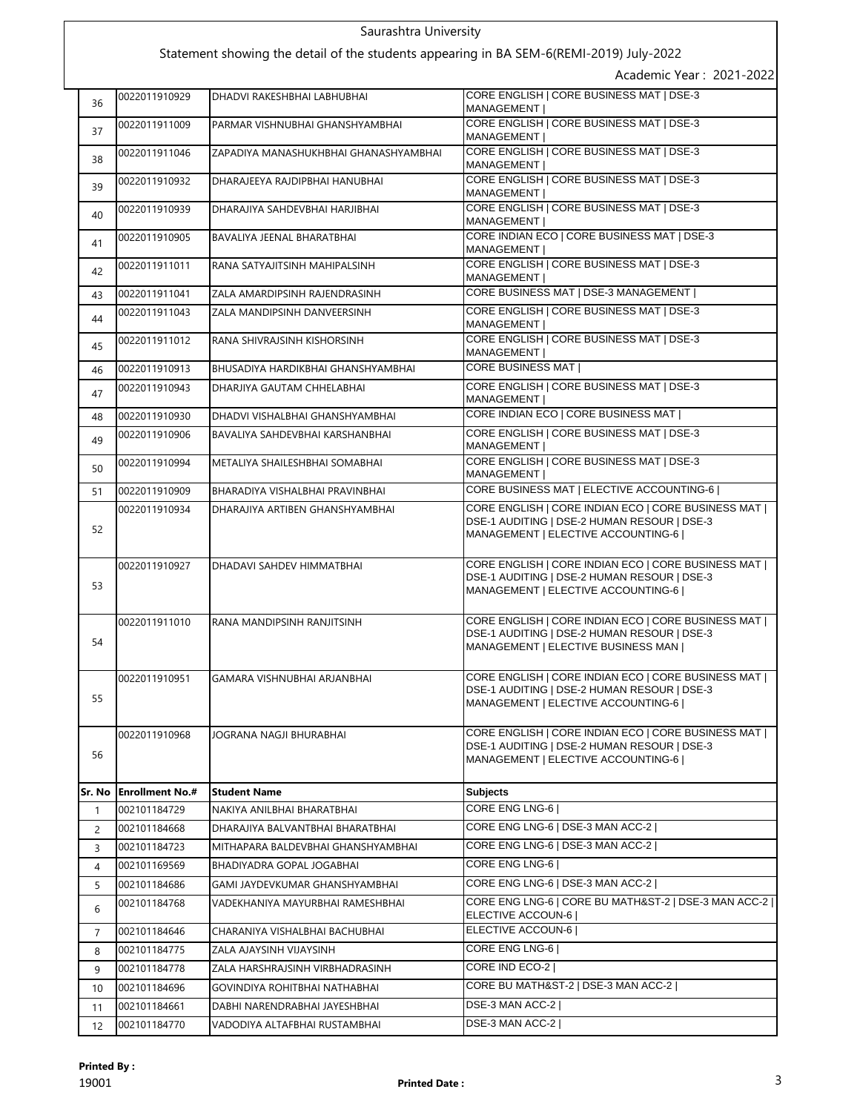#### Saurashtra University Statement showing the detail of the students appearing in BA SEM-6(REMI-2019) July-2022 Academic Year : 2021-2022 0022011910929 DHADVI RAKESHBHAI LABHUBHAI CORE ENGLISH | CORE BUSINESS MAT | DSE-3 MANAGEMENT | 37 0022011911009 PARMAR VISHNUBHAI GHANSHYAMBHAI CORE ENGLISH CORE BUSINESS MAT | DSE-3 MANAGEMENT | 38 0022011911046 ZAPADIYA MANASHUKHBHAI GHANASHYAMBHAI CORE ENGLISH | CORE BUSINESS MAT | DSE-3 MANAGEMENT | 39 0022011910932 DHARAJEEYA RAJDIPBHAI HANUBHAI CORE ENGLISH | CORE BUSINESS MAT | DSE-3 MANAGEMENT | 0022011910939 DHARAJIYA SAHDEVBHAI HARJIBHAI CORE ENGLISH | CORE BUSINESS MAT | DSE-3 MANAGEMENT | 0022011910905 BAVALIYA JEENAL BHARATBHAI CORE INDIAN ECO | CORE BUSINESS MAT | DSE-3 MANAGEMENT | 0022011911011 RANA SATYAJITSINH MAHIPALSINH CORE ENGLISH | CORE BUSINESS MAT | DSE-3 MANAGEMENT | 43 0022011911041 ZALA AMARDIPSINH RAJENDRASINH CORE BUSINESS MAT | DSE-3 MANAGEMENT | 0022011911043 ZALA MANDIPSINH DANVEERSINH CORE ENGLISH | CORE BUSINESS MAT | DSE-3 **MANAGEMENT** 0022011911012 RANA SHIVRAJSINH KISHORSINH CORE ENGLISH | CORE BUSINESS MAT | DSE-3 MANAGEMENT | 46 0022011910913 BHUSADIYA HARDIKBHAI GHANSHYAMBHAI CORE BUSINESS MAT | 0022011910943 DHARJIYA GAUTAM CHHELABHAI CORE ENGLISH | CORE BUSINESS MAT | DSE-3 **MANAGEMENT** 48 0022011910930 DHADVI VISHALBHAI GHANSHYAMBHAI CORE INDIAN ECO | CORE BUSINESS MAT | 0022011910906 BAVALIYA SAHDEVBHAI KARSHANBHAI CORE ENGLISH | CORE BUSINESS MAT | DSE-3 MANAGEMENT I 0022011910994 METALIYA SHAILESHBHAI SOMABHAI CORE ENGLISH | CORE BUSINESS MAT | DSE-3 MANAGEMENT I 51 0022011910909 BHARADIYA VISHALBHAI PRAVINBHAI CORE BUSINESS MAT | ELECTIVE ACCOUNTING-6 | 52 0022011910934 DHARAJIYA ARTIBEN GHANSHYAMBHAI CORE ENGLISH | CORE INDIAN ECO | CORE BUSINESS MAT | DSE-1 AUDITING | DSE-2 HUMAN RESOUR | DSE-3 MANAGEMENT | ELECTIVE ACCOUNTING-6 | 53 0022011910927 DHADAVI SAHDEV HIMMATBHAI CORE ENGLISH | CORE INDIAN ECO | CORE BUSINESS MAT | DSE-1 AUDITING | DSE-2 HUMAN RESOUR | DSE-3 MANAGEMENT | ELECTIVE ACCOUNTING-6 | 54 0022011911010 RANA MANDIPSINH RANJITSINH CORE ENGLISH | CORE INDIAN ECO | CORE BUSINESS MAT | DSE-1 AUDITING | DSE-2 HUMAN RESOUR | DSE-3 MANAGEMENT | ELECTIVE BUSINESS MAN | 55 0022011910951 GAMARA VISHNUBHAI ARJANBHAI CORE ENGLISH | CORE INDIAN ECO | CORE BUSINESS MAT | DSE-1 AUDITING | DSE-2 HUMAN RESOUR | DSE-3 MANAGEMENT | ELECTIVE ACCOUNTING-6 | 56 0022011910968 JOGRANA NAGJI BHURABHAI CORE ENGLISH | CORE INDIAN ECO | CORE BUSINESS MAT | DSE-1 AUDITING | DSE-2 HUMAN RESOUR | DSE-3 MANAGEMENT | ELECTIVE ACCOUNTING-6 | **Sr. No Enrollment No.# Student Name Subjects** 1 002101184729 NAKIYA ANILBHAI BHARATBHAI CORE ENG LNG-6 | 2 002101184668 DHARAJIYA BALVANTBHAI BHARATBHAI CORE ENG LNG-6 | DSE-3 MAN ACC-2 | 3 002101184723 MITHAPARA BALDEVBHAI GHANSHYAMBHAI CORE ENG LNG-6 | DSE-3 MAN ACC-2 | 4 002101169569 BHADIYADRA GOPAL JOGABHAI CORE ENG LNG-6 5 002101184686 GAMI JAYDEVKUMAR GHANSHYAMBHAI CORE ENG LNG-6 | DSE-3 MAN ACC-2 | 6 002101184768 VADEKHANIYA MAYURBHAI RAMESHBHAI CORE ENG LNG-6 | CORE BU MATH&ST-2 | DSE-3 MAN ACC-2 | ELECTIVE ACCOUN-6 | 7 002101184646 CHARANIYA VISHALBHAI BACHUBHAI ELECTIVE ACCOUN-6 | 8 002101184775 ZALA AJAYSINH VIJAYSINH CORE ENG LNG-6 9 002101184778 ZALA HARSHRAJSINH VIRBHADRASINH CORE IND ECO-2 | 10 002101184696 GOVINDIYA ROHITBHAI NATHABHAI CORE BU MATH&ST-2 | DSE-3 MAN ACC-2 | 11 002101184661 DABHI NARENDRABHAI JAYESHBHAI DSE-3 MAN ACC-2 |

12 002101184770 VADODIYA ALTAFBHAI RUSTAMBHAI DSE-3 MAN ACC-2